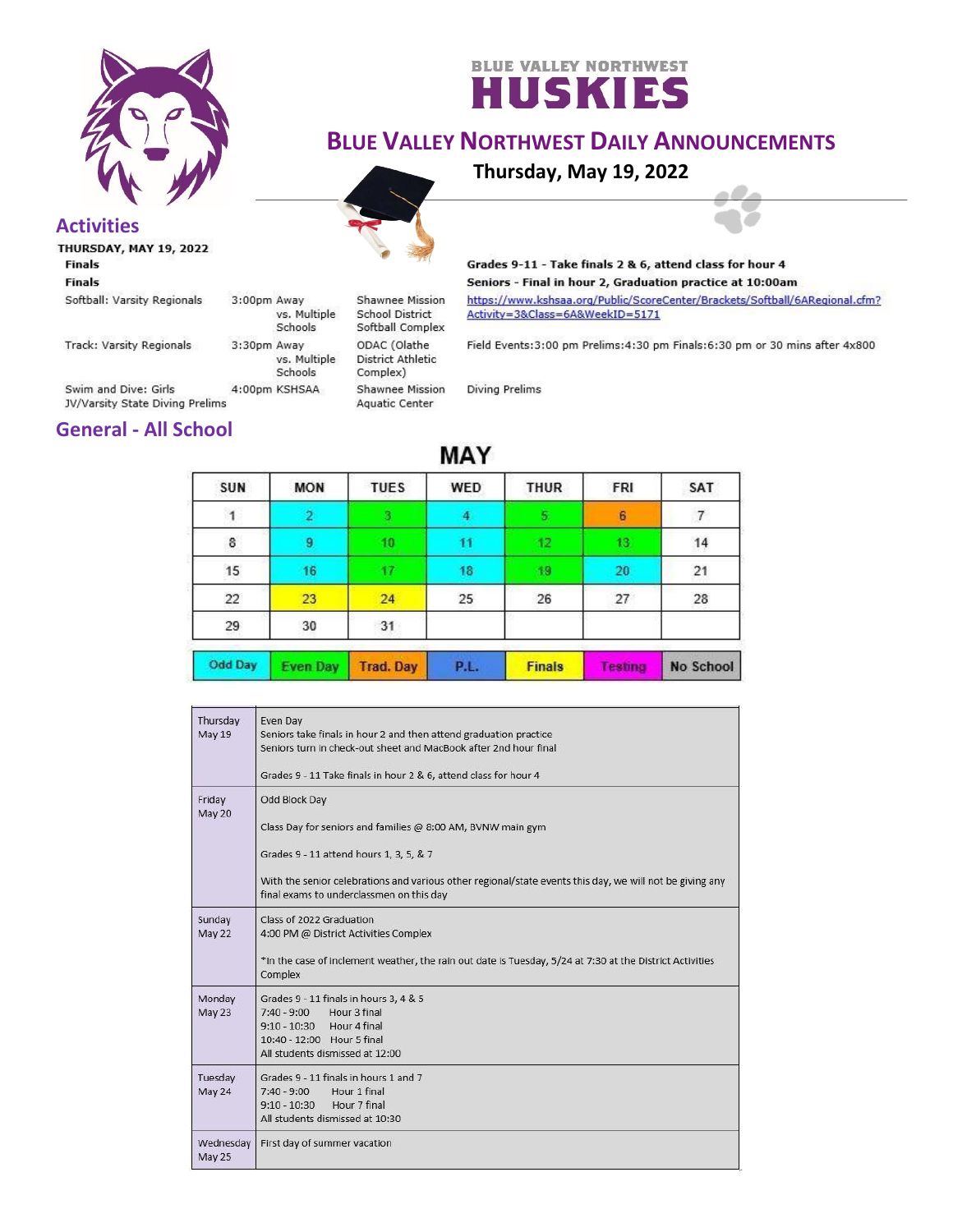

# **BLUE VALLEY NORTHWEST**

## **BLUE VALLEY NORTHWEST DAILY ANNOUNCEMENTS**

**Thursday, May 19, 2022**

**Activities**

**Finals Finals** 

Softball: Varsity Regionals

**Track: Varsity Regionals** 

Schools Swim and Dive: Girls 4:00pm KSHSAA JV/Varsity State Diving Prelims

3:00pm Away

3:30pm Away

vs. Multiple

vs. Multiple

Schools

Shawnee Mission **School District** Softball Complex ODAC (Olathe **District Athletic** Complex) Shawnee Mission Aquatic Center



#### Grades 9-11 - Take finals 2 & 6, attend class for hour 4 Seniors - Final in hour 2, Graduation practice at 10:00am

https://www.kshsaa.org/Public/ScoreCenter/Brackets/Softball/6ARegional.cfm? Activity=3&Class=6A&WeekID=5171

Field Events: 3:00 pm Prelims: 4:30 pm Finals: 6:30 pm or 30 mins after 4x800

**Diving Prelims** 

### **General - All School**

| <b></b>        |                 |                  |             |               |         |           |
|----------------|-----------------|------------------|-------------|---------------|---------|-----------|
| SUN            | <b>MON</b>      | <b>TUES</b>      | WED         | <b>THUR</b>   | FRI     | SAT       |
| 1              | $\overline{2}$  |                  |             | 5.            | 6       |           |
| $\bf 8$        | 9               | 10               | 11          | 42            | 13      | 14        |
| 15             | 16              | 17               | 18          | 19            | 20      | 21        |
| 22             | 23              | 24               | 25          | 26            | 27      | 28        |
| 29             | 30              | 31               |             |               |         |           |
| <b>Odd Day</b> | <b>Even Day</b> | <b>Trad. Day</b> | <b>P.L.</b> | <b>Finals</b> | Testing | No School |

**MAY** 

| Thursday<br>May 19      | Even Day<br>Seniors take finals in hour 2 and then attend graduation practice<br>Seniors turn in check-out sheet and MacBook after 2nd hour final<br>Grades 9 - 11 Take finals in hour 2 & 6, attend class for hour 4                                                           |  |  |  |
|-------------------------|---------------------------------------------------------------------------------------------------------------------------------------------------------------------------------------------------------------------------------------------------------------------------------|--|--|--|
| Friday<br><b>May 20</b> | Odd Block Day<br>Class Day for seniors and families @ 8:00 AM, BVNW main gym<br>Grades 9 - 11 attend hours 1, 3, 5, & 7<br>With the senior celebrations and various other regional/state events this day, we will not be giving any<br>final exams to underclassmen on this day |  |  |  |
| Sunday<br>May 22        | Class of 2022 Graduation<br>4:00 PM @ District Activities Complex<br>*In the case of inclement weather, the rain out date is Tuesday, 5/24 at 7:30 at the District Activities<br>Complex                                                                                        |  |  |  |
| Monday<br><b>May 23</b> | Grades 9 - 11 finals in hours 3, 4 & 5<br>Hour 3 final<br>$7:40 - 9:00$<br>9:10 - 10:30 Hour 4 final<br>10:40 - 12:00 Hour 5 final<br>All students dismissed at 12:00                                                                                                           |  |  |  |
| Tuesday<br>May 24       | Grades 9 - 11 finals in hours 1 and 7<br>Hour 1 final<br>$7:40 - 9:00$<br>9:10 - 10:30 Hour 7 final<br>All students dismissed at 10:30                                                                                                                                          |  |  |  |
| Wednesday<br>May 25     | First day of summer vacation                                                                                                                                                                                                                                                    |  |  |  |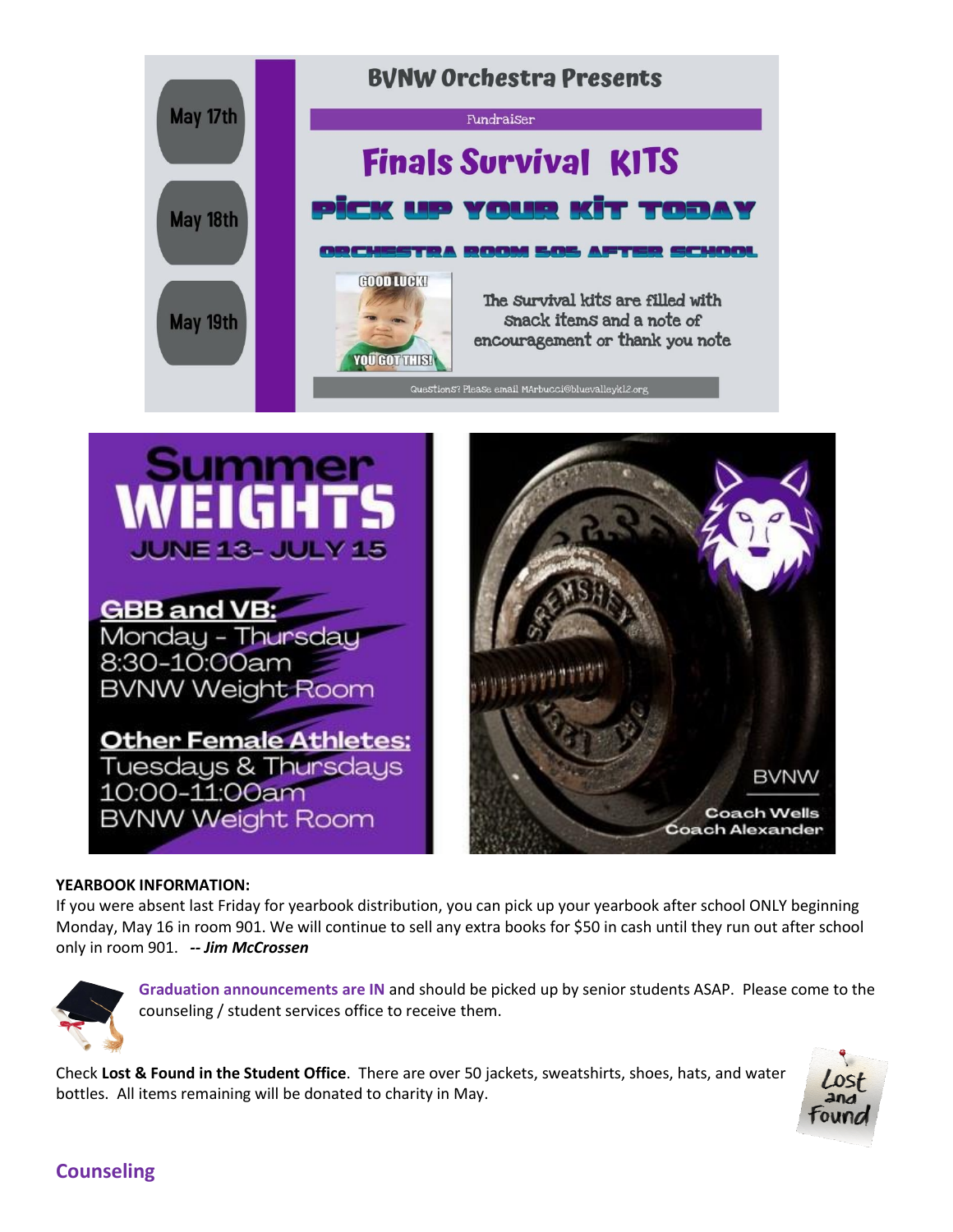



#### **YEARBOOK INFORMATION:**

If you were absent last Friday for yearbook distribution, you can pick up your yearbook after school ONLY beginning Monday, May 16 in room 901. We will continue to sell any extra books for \$50 in cash until they run out after school only in room 901. *-- Jim McCrossen*



**Graduation announcements are IN** and should be picked up by senior students ASAP. Please come to the counseling / student services office to receive them.

Check **Lost & Found in the Student Office**. There are over 50 jackets, sweatshirts, shoes, hats, and water bottles. All items remaining will be donated to charity in May.



BVNW

**Coach Wells** 

#### **Counseling**